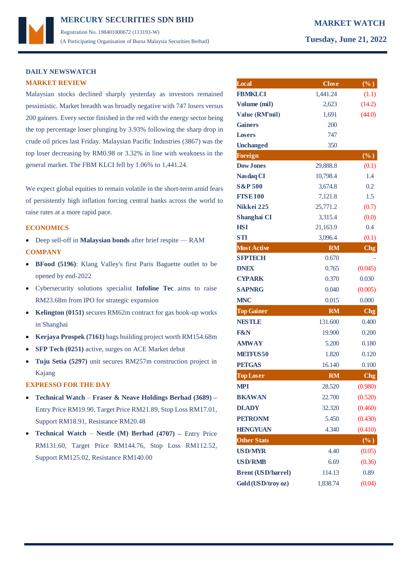# **DAILY NEWSWATCH MARKET REVIEW**

Malaysian stocks declined sharply yesterday as investors remained pessimistic. Market breadth was broadly negative with 747 losers versus 200 gainers. Every sector finished in the red with the energy sector being the top percentage loser plunging by 3.93% following the sharp drop in crude oil prices last Friday. Malaysian Pacific Industries (3867) was the top loser decreasing by RM0.98 or 3.32% in line with weakness in the general market. The FBM KLCI fell by 1.06% to 1,441.24.

We expect global equities to remain volatile in the short-term amid fears of persistently high inflation forcing central banks across the world to raise rates at a more rapid pace.

### **ECONOMICS**

- Deep sell-off in **Malaysian bonds** after brief respite RAM **COMPANY**
- **BFood (5196)**: Klang Valley's first Paris Baguette outlet to be opened by end-2022
- Cybersecurity solutions specialist **Infoline Tec** aims to raise RM23.68m from IPO for strategic expansion
- **Kelington (0151)** secures RM62m contract for gas hook-up works in Shanghai
- **Kerjaya Prospek (7161)** bags building project worth RM154.68m
- **SFP Tech (0251)** active, surges on ACE Market debut
- **Tuju Setia (5297)** unit secures RM257m construction project in Kajang

### **EXPRESSO FOR THE DAY**

- **Technical Watch Fraser & Neave Holdings Berhad (3689) –** Entry Price RM19.90, Target Price RM21.89, Stop Loss RM17.01, Support RM18.91, Resistance RM20.48
- **Technical Watch Nestle (M) Berhad (4707) –** Entry Price RM131.60, Target Price RM144.76, Stop Loss RM112.52, Support RM125.02, Resistance RM140.00

| Local                     | <b>Close</b> | $(\% )$                    |
|---------------------------|--------------|----------------------------|
| <b>FBMKLCI</b>            | 1,441.24     | (1.1)                      |
| Volume (mil)              | 2,623        | (14.2)                     |
| Value (RM'mil)            | 1,691        | (44.0)                     |
| <b>Gainers</b>            | 200          |                            |
| <b>Losers</b>             | 747          |                            |
| <b>Unchanged</b>          | 350          |                            |
| <b>Foreign</b>            |              | $(\overline{\frac{9}{6}})$ |
| <b>Dow Jones</b>          | 29,888.8     | (0.1)                      |
| Nasdaq CI                 | 10,798.4     | 1.4                        |
| <b>S&amp;P 500</b>        | 3,674.8      | 0.2                        |
| <b>FTSE100</b>            | 7,121.8      | 1.5                        |
| Nikkei 225                | 25,771.2     | (0.7)                      |
| Shanghai CI               | 3,315.4      | (0.0)                      |
| <b>HSI</b>                | 21,163.9     | 0.4                        |
| <b>STI</b>                | 3,096.4      | (0.1)                      |
| <b>Most Active</b>        | <b>RM</b>    | C <sub>ng</sub>            |
| <b>SFPTECH</b>            | 0.670        |                            |
| <b>DNEX</b>               | 0.765        | (0.045)                    |
| <b>CYPARK</b>             | 0.370        | 0.030                      |
| <b>SAPNRG</b>             | 0.040        | (0.005)                    |
| <b>MNC</b>                | 0.015        | 0.000                      |
| <b>Top Gainer</b>         | <b>RM</b>    | C <sub>ng</sub>            |
| <b>NESTLE</b>             | 131.600      | 0.400                      |
| <b>F&amp;N</b>            | 19.900       | 0.200                      |
| <b>AMWAY</b>              | 5.200        | 0.180                      |
| <b>METFUS50</b>           | 1.820        | 0.120                      |
| <b>PETGAS</b>             | 16.140       | 0.100                      |
| <b>Top Loser</b>          | <b>RM</b>    | Chg                        |
| <b>MPI</b>                | 28.520       | (0.980)                    |
| <b>BKAWAN</b>             | 22.700       | (0.520)                    |
| <b>DLADY</b>              | 32.320       | (0.460)                    |
| <b>PETRONM</b>            | 5.450        | (0.430)                    |
| <b>HENGYUAN</b>           | 4.340        | (0.410)                    |
| <b>Other Stats</b>        |              | $(\%)$                     |
| <b>USD/MYR</b>            | 4.40         | (0.05)                     |
|                           |              |                            |
| <b>USD/RMB</b>            | 6.69         | (0.36)                     |
| <b>Brent (USD/barrel)</b> | 114.13       | 0.89                       |
| Gold (USD/troy oz)        | 1,838.74     | (0.04)                     |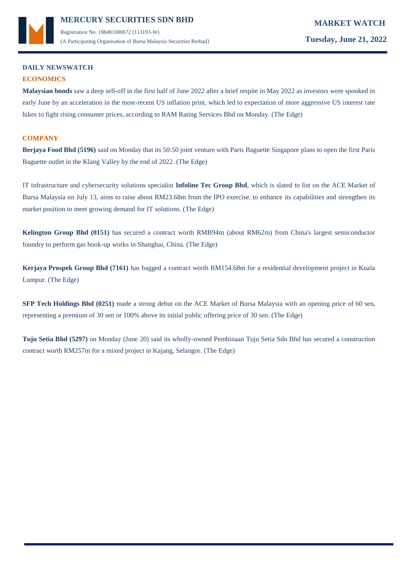

Registration No. 198401000672 (113193-W) (A Participating Organisation of Bursa Malaysia Securities Berhad) **Tuesday, June 21, 2022**

# **DAILY NEWSWATCH**

# **ECONOMICS**

**Malaysian bonds** saw a deep sell-off in the first half of June 2022 after a brief respite in May 2022 as investors were spooked in early June by an acceleration in the most-recent US inflation print, which led to expectation of more aggressive US interest rate hikes to fight rising consumer prices, according to RAM Rating Services Bhd on Monday. (The Edge)

## **COMPANY**

**Berjaya Food Bhd (5196)** said on Monday that its 50:50 joint venture with Paris Baguette Singapore plans to open the first Paris Baguette outlet in the Klang Valley by the end of 2022. (The Edge)

IT infrastructure and cybersecurity solutions specialist **Infoline Tec Group Bhd**, which is slated to list on the ACE Market of Bursa Malaysia on July 13, aims to raise about RM23.68m from the IPO exercise, to enhance its capabilities and strengthen its market position to meet growing demand for IT solutions. (The Edge)

**Kelington Group Bhd (0151)** has secured a contract worth RMB94m (about RM62m) from China's largest semiconductor foundry to perform gas hook-up works in Shanghai, China. (The Edge)

**Kerjaya Prospek Group Bhd (7161)** has bagged a contract worth RM154.68m for a residential development project in Kuala Lumpur. (The Edge)

**SFP Tech Holdings Bhd (0251)** made a strong debut on the ACE Market of Bursa Malaysia with an opening price of 60 sen, representing a premium of 30 sen or 100% above its initial public offering price of 30 sen. (The Edge)

**Tuju Setia Bhd (5297)** on Monday (June 20) said its wholly-owned Pembinaan Tuju Setia Sdn Bhd has secured a construction contract worth RM257m for a mixed project in Kajang, Selangor. (The Edge)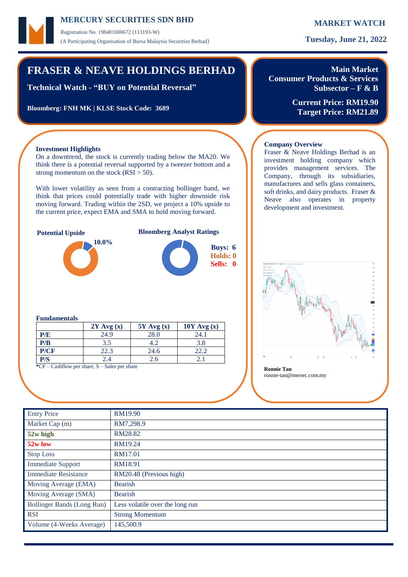Registration No. 198401000672 (113193-W) (A Participating Organisation of Bursa Malaysia Securities Berhad) **Tuesday, June 21, 2022**

# **FRASER & NEAVE HOLDINGS BERHAD**

**Technical Watch - "BUY on Potential Reversal"**

**Bloomberg: FNH MK | KLSE Stock Code: 3689**

**Main Market Consumer Products & Services Subsector – F & B**

Fraser & Neave Holdings Berhad is an investment holding company which provides management services. The Company, through its subsidiaries, manufactures and sells glass containers, soft drinks, and dairy products. Fraser & Neave also operates in property

**Current Price: RM19.90 Target Price: RM21.89**

## **Investment Highlights**

On a downtrend, the stock is currently trading below the MA20. We think there is a potential reversal supported by a tweezer bottom and a strong momentum on the stock  $(RSI > 50)$ .

With lower volatility as seen from a contracting bollinger band, we think that prices could potentially trade with higher downside risk moving forward. Trading within the 2SD, we project a 10% upside to the current price, expect EMA and SMA to hold moving forward.





# **Fundamentals**

|                                                          | $2Y$ Avg $(x)$ | $5Y$ Avg $(x)$ | $10Y$ Avg $(x)$ |  |  |  |  |
|----------------------------------------------------------|----------------|----------------|-----------------|--|--|--|--|
| P/E                                                      | 24.9           | 28.0           | 24.1            |  |  |  |  |
| P/B                                                      | 3.5            | 4.2            | 3.8             |  |  |  |  |
| P/CF                                                     | 22.3           | 24.6           | 22.2            |  |  |  |  |
| P/S                                                      | 2.4            | 2.6            |                 |  |  |  |  |
| $20F - C - 1.0 - 1.1 - 1.0$<br>Contractor and the season |                |                |                 |  |  |  |  |

**\***CF – Cashflow per share, S – Sales per share **Ronnie Tan**

ronnie-tan@mersec.com.my

**Company Overview**

development and investment.

| <b>Entry Price</b>          | RM19.90                         |
|-----------------------------|---------------------------------|
| Market Cap (m)              | RM7,298.9                       |
| 52w high                    | RM28.82                         |
| 52w low                     | RM19.24                         |
| <b>Stop Loss</b>            | <b>RM17.01</b>                  |
| <b>Immediate Support</b>    | RM18.91                         |
| <b>Immediate Resistance</b> | RM20.48 (Previous high)         |
| Moving Average (EMA)        | <b>Bearish</b>                  |
| Moving Average (SMA)        | <b>Bearish</b>                  |
| Bollinger Bands (Long Run)  | Less volatile over the long run |
| <b>RSI</b>                  | <b>Strong Momentum</b>          |
| Volume (4-Weeks Average)    | 145,500.9                       |
|                             |                                 |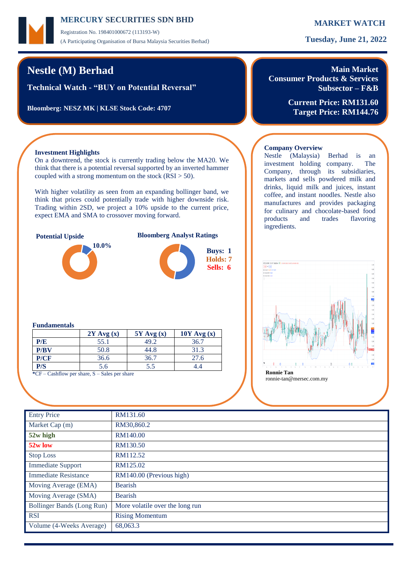Registration No. 198401000672 (113193-W) (A Participating Organisation of Bursa Malaysia Securities Berhad) **Tuesday, June 21, 2022**

# **Nestle (M) Berhad**

**Technical Watch - "BUY on Potential Reversal"**

**Bloomberg: NESZ MK | KLSE Stock Code: 4707**

# **Main Market Consumer Products & Services**

**Subsector – F&B**

**Current Price: RM131.60 Target Price: RM144.76**

## **Investment Highlights**

On a downtrend, the stock is currently trading below the MA20. We think that there is a potential reversal supported by an inverted hammer coupled with a strong momentum on the stock  $(RSI > 50)$ .

With higher volatility as seen from an expanding bollinger band, we think that prices could potentially trade with higher downside risk. Trading within 2SD, we project a 10% upside to the current price, expect EMA and SMA to crossover moving forward.





## **Company Overview** Nestle (Malaysia) Berhad is an

investment holding company. The Company, through its subsidiaries, markets and sells powdered milk and drinks, liquid milk and juices, instant coffee, and instant noodles. Nestle also manufactures and provides packaging for culinary and chocolate-based food products and trades flavoring ingredients.



### **Fundamentals**

|      | $2Y$ Avg $(x)$ | $5Y$ Avg $(x)$ | $10Y$ Avg $(x)$ |
|------|----------------|----------------|-----------------|
| P/E  | 55.1           | 49.2           | 36.7            |
| P/BV | 50.8           | 44.8           | 31.3            |
| P/CF | 36.6           | 36.7           | 27.6            |
| P/S  | 5.6            | 5.5            |                 |

**\***CF – Cashflow per share, S – Sales per share **Ronnie Tan**

| <b>Entry Price</b>                | RM131.60                        |
|-----------------------------------|---------------------------------|
| Market Cap (m)                    | RM30,860.2                      |
| 52w high                          | RM140.00                        |
| $52w$ low                         | RM130.50                        |
| <b>Stop Loss</b>                  | RM112.52                        |
| <b>Immediate Support</b>          | RM125.02                        |
| <b>Immediate Resistance</b>       | RM140.00 (Previous high)        |
| Moving Average (EMA)              | <b>Bearish</b>                  |
| Moving Average (SMA)              | <b>Bearish</b>                  |
| <b>Bollinger Bands (Long Run)</b> | More volatile over the long run |
| <b>RSI</b>                        | <b>Rising Momentum</b>          |
| Volume (4-Weeks Average)          | 68,063.3                        |
|                                   |                                 |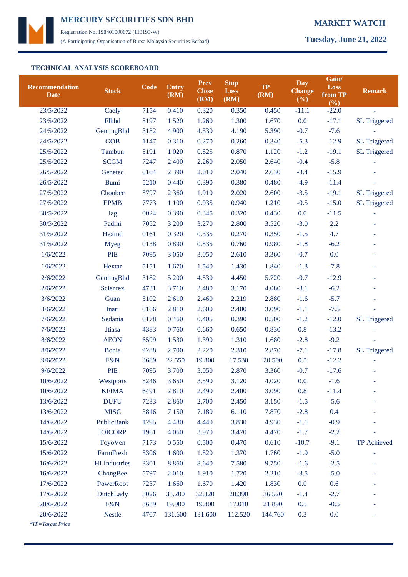

Registration No. 198401000672 (113193-W) (A Participating Organisation of Bursa Malaysia Securities Berhad) **Tuesday, June 21, 2022**

## **TECHNICAL ANALYSIS SCOREBOARD**

| <b>Recommendation</b><br><b>Date</b> | <b>Stock</b>        | <b>Code</b> | <b>Entry</b><br>(RM) | <b>Prev</b><br><b>Close</b><br>(RM) | <b>Stop</b><br>Loss<br>(RM) | <b>TP</b><br>(RM) | <b>Day</b><br><b>Change</b><br>(%) | Gain/<br><b>Loss</b><br>from TP<br>(%) | <b>Remark</b>       |
|--------------------------------------|---------------------|-------------|----------------------|-------------------------------------|-----------------------------|-------------------|------------------------------------|----------------------------------------|---------------------|
| 23/5/2022                            | Caely               | 7154        | 0.410                | 0.320                               | 0.350                       | 0.450             | $-11.1$                            | $-22.0$                                | ä,                  |
| 23/5/2022                            | Flbhd               | 5197        | 1.520                | 1.260                               | 1.300                       | 1.670             | 0.0                                | $-17.1$                                | <b>SL Triggered</b> |
| 24/5/2022                            | GentingBhd          | 3182        | 4.900                | 4.530                               | 4.190                       | 5.390             | $-0.7$                             | $-7.6$                                 |                     |
| 24/5/2022                            | <b>GOB</b>          | 1147        | 0.310                | 0.270                               | 0.260                       | 0.340             | $-5.3$                             | $-12.9$                                | <b>SL Triggered</b> |
| 25/5/2022                            | Tambun              | 5191        | 1.020                | 0.825                               | 0.870                       | 1.120             | $-1.2$                             | $-19.1$                                | <b>SL Triggered</b> |
| 25/5/2022                            | <b>SCGM</b>         | 7247        | 2.400                | 2.260                               | 2.050                       | 2.640             | $-0.4$                             | $-5.8$                                 |                     |
| 26/5/2022                            | Genetec             | 0104        | 2.390                | 2.010                               | 2.040                       | 2.630             | $-3.4$                             | $-15.9$                                |                     |
| 26/5/2022                            | <b>Bumi</b>         | 5210        | 0.440                | 0.390                               | 0.380                       | 0.480             | $-4.9$                             | $-11.4$                                |                     |
| 27/5/2022                            | Choobee             | 5797        | 2.360                | 1.910                               | 2.020                       | 2.600             | $-3.5$                             | $-19.1$                                | <b>SL Triggered</b> |
| 27/5/2022                            | <b>EPMB</b>         | 7773        | 1.100                | 0.935                               | 0.940                       | 1.210             | $-0.5$                             | $-15.0$                                | <b>SL Triggered</b> |
| 30/5/2022                            | Jag                 | 0024        | 0.390                | 0.345                               | 0.320                       | 0.430             | 0.0                                | $-11.5$                                | ÷.                  |
| 30/5/2022                            | Padini              | 7052        | 3.200                | 3.270                               | 2.800                       | 3.520             | $-3.0$                             | 2.2                                    |                     |
| 31/5/2022                            | Hexind              | 0161        | 0.320                | 0.335                               | 0.270                       | 0.350             | $-1.5$                             | 4.7                                    |                     |
| 31/5/2022                            | <b>Myeg</b>         | 0138        | 0.890                | 0.835                               | 0.760                       | 0.980             | $-1.8$                             | $-6.2$                                 |                     |
| 1/6/2022                             | <b>PIE</b>          | 7095        | 3.050                | 3.050                               | 2.610                       | 3.360             | $-0.7$                             | 0.0                                    |                     |
| 1/6/2022                             | Hextar              | 5151        | 1.670                | 1.540                               | 1.430                       | 1.840             | $-1.3$                             | $-7.8$                                 | ٠                   |
| 2/6/2022                             | GentingBhd          | 3182        | 5.200                | 4.530                               | 4.450                       | 5.720             | $-0.7$                             | $-12.9$                                |                     |
| 2/6/2022                             | <b>Scientex</b>     | 4731        | 3.710                | 3.480                               | 3.170                       | 4.080             | $-3.1$                             | $-6.2$                                 |                     |
| 3/6/2022                             | Guan                | 5102        | 2.610                | 2.460                               | 2.219                       | 2.880             | $-1.6$                             | $-5.7$                                 |                     |
| 3/6/2022                             | Inari               | 0166        | 2.810                | 2.600                               | 2.400                       | 3.090             | $-1.1$                             | $-7.5$                                 |                     |
| 7/6/2022                             | Sedania             | 0178        | 0.460                | 0.405                               | 0.390                       | 0.500             | $-1.2$                             | $-12.0$                                | SL Triggered        |
| 7/6/2022                             | Jtiasa              | 4383        | 0.760                | 0.660                               | 0.650                       | 0.830             | 0.8                                | $-13.2$                                |                     |
| 8/6/2022                             | <b>AEON</b>         | 6599        | 1.530                | 1.390                               | 1.310                       | 1.680             | $-2.8$                             | $-9.2$                                 |                     |
| 8/6/2022                             | Bonia               | 9288        | 2.700                | 2.220                               | 2.310                       | 2.870             | $-7.1$                             | $-17.8$                                | <b>SL Triggered</b> |
| 9/6/2022                             | F&N                 | 3689        | 22.550               | 19.800                              | 17.530                      | 20.500            | 0.5                                | $-12.2$                                |                     |
| 9/6/2022                             | <b>PIE</b>          | 7095        | 3.700                | 3.050                               | 2.870                       | 3.360             | $-0.7$                             | $-17.6$                                |                     |
| 10/6/2022                            | Westports           | 5246        | 3.650                | 3.590                               | 3.120                       | 4.020             | 0.0                                | $-1.6$                                 |                     |
| 10/6/2022                            | <b>KFIMA</b>        | 6491        | 2.810                | 2.490                               | 2.400                       | 3.090             | 0.8                                | $-11.4$                                |                     |
| 13/6/2022                            | <b>DUFU</b>         | 7233        | 2.860                | 2.700                               | 2.450                       | 3.150             | $-1.5$                             | $-5.6$                                 |                     |
| 13/6/2022                            | <b>MISC</b>         | 3816        | 7.150                | 7.180                               | 6.110                       | 7.870             | $-2.8$                             | 0.4                                    |                     |
| 14/6/2022                            | PublicBank          | 1295        | 4.480                | 4.440                               | 3.830                       | 4.930             | $-1.1$                             | $-0.9$                                 |                     |
| 14/6/2022                            | <b>IOICORP</b>      | 1961        | 4.060                | 3.970                               | 3.470                       | 4.470             | $-1.7$                             | $-2.2$                                 |                     |
| 15/6/2022                            | ToyoVen             | 7173        | 0.550                | 0.500                               | 0.470                       | 0.610             | $-10.7$                            | $-9.1$                                 | TP Achieved         |
| 15/6/2022                            | FarmFresh           | 5306        | 1.600                | 1.520                               | 1.370                       | 1.760             | $-1.9$                             | $-5.0$                                 |                     |
| 16/6/2022                            | <b>HLIndustries</b> | 3301        | 8.860                | 8.640                               | 7.580                       | 9.750             | $-1.6$                             | $-2.5$                                 |                     |
| 16/6/2022                            | ChongBee            | 5797        | 2.010                | 1.910                               | 1.720                       | 2.210             | $-3.5$                             | $-5.0$                                 |                     |
| 17/6/2022                            | PowerRoot           | 7237        | 1.660                | 1.670                               | 1.420                       | 1.830             | 0.0                                | 0.6                                    |                     |
| 17/6/2022                            | DutchLady           | 3026        | 33.200               | 32.320                              | 28.390                      | 36.520            | $-1.4$                             | $-2.7$                                 |                     |
| 20/6/2022                            | F&N                 | 3689        | 19.900               | 19.800                              | 17.010                      | 21.890            | 0.5                                | $-0.5$                                 |                     |
| 20/6/2022                            | <b>Nestle</b>       | 4707        | 131.600              | 131.600                             | 112.520                     | 144.760           | 0.3                                | 0.0                                    |                     |
| <i>*TP=Target Price</i>              |                     |             |                      |                                     |                             |                   |                                    |                                        |                     |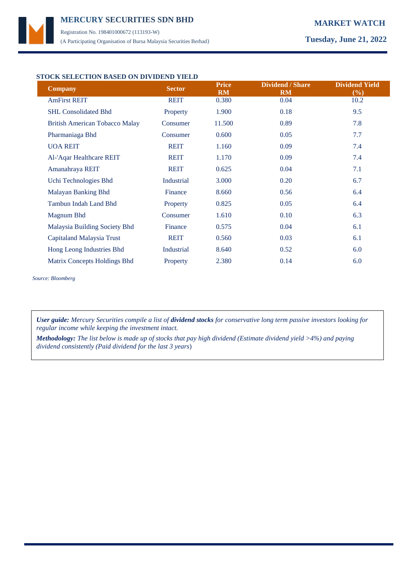Registration No. 198401000672 (113193-W) (A Participating Organisation of Bursa Malaysia Securities Berhad) **Tuesday, June 21, 2022**

## **STOCK SELECTION BASED ON DIVIDEND YIELD**

| <b>Company</b>                        | <b>Sector</b> | <b>Price</b><br><b>RM</b> | <b>Dividend / Share</b><br><b>RM</b> | <b>Dividend Yield</b><br>$(\%)$ |
|---------------------------------------|---------------|---------------------------|--------------------------------------|---------------------------------|
| <b>AmFirst REIT</b>                   | <b>REIT</b>   | 0.380                     | 0.04                                 | 10.2                            |
| <b>SHL Consolidated Bhd</b>           | Property      | 1.900                     | 0.18                                 | 9.5                             |
| <b>British American Tobacco Malay</b> | Consumer      | 11.500                    | 0.89                                 | 7.8                             |
| Pharmaniaga Bhd                       | Consumer      | 0.600                     | 0.05                                 | 7.7                             |
| <b>UOA REIT</b>                       | <b>REIT</b>   | 1.160                     | 0.09                                 | 7.4                             |
| Al-'Aqar Healthcare REIT              | <b>REIT</b>   | 1.170                     | 0.09                                 | 7.4                             |
| Amanahraya REIT                       | <b>REIT</b>   | 0.625                     | 0.04                                 | 7.1                             |
| Uchi Technologies Bhd                 | Industrial    | 3.000                     | 0.20                                 | 6.7                             |
| Malayan Banking Bhd                   | Finance       | 8.660                     | 0.56                                 | 6.4                             |
| Tambun Indah Land Bhd                 | Property      | 0.825                     | 0.05                                 | 6.4                             |
| Magnum Bhd                            | Consumer      | 1.610                     | 0.10                                 | 6.3                             |
| Malaysia Building Society Bhd         | Finance       | 0.575                     | 0.04                                 | 6.1                             |
| Capitaland Malaysia Trust             | <b>REIT</b>   | 0.560                     | 0.03                                 | 6.1                             |
| Hong Leong Industries Bhd             | Industrial    | 8.640                     | 0.52                                 | 6.0                             |
| Matrix Concepts Holdings Bhd          | Property      | 2.380                     | 0.14                                 | 6.0                             |

*Source: Bloomberg*

*User guide: Mercury Securities compile a list of dividend stocks for conservative long term passive investors looking for regular income while keeping the investment intact.*

*Methodology: The list below is made up of stocks that pay high dividend (Estimate dividend yield >4%) and paying dividend consistently (Paid dividend for the last 3 years*)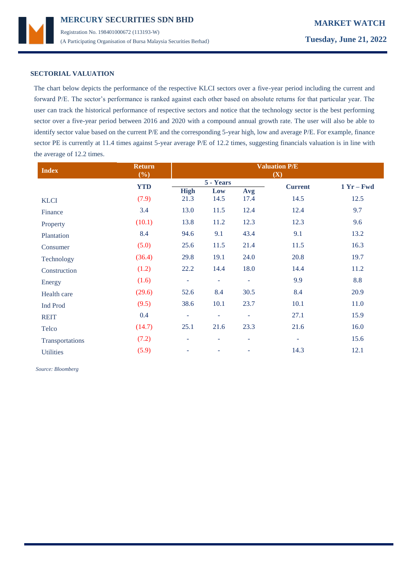

## **SECTORIAL VALUATION**

The chart below depicts the performance of the respective KLCI sectors over a five-year period including the current and forward P/E. The sector's performance is ranked against each other based on absolute returns for that particular year. The user can track the historical performance of respective sectors and notice that the technology sector is the best performing sector over a five-year period between 2016 and 2020 with a compound annual growth rate. The user will also be able to identify sector value based on the current P/E and the corresponding 5-year high, low and average P/E. For example, finance sector PE is currently at 11.4 times against 5-year average P/E of 12.2 times, suggesting financials valuation is in line with the average of 12.2 times.

| <b>Index</b>     | <b>Return</b><br>(%) | <b>Valuation P/E</b><br>(X) |                          |                     |                |              |
|------------------|----------------------|-----------------------------|--------------------------|---------------------|----------------|--------------|
|                  | <b>YTD</b>           |                             | 5 - Years                |                     | <b>Current</b> | $1 Yr - Fwd$ |
|                  |                      | <b>High</b>                 | Low                      | Avg                 |                |              |
| <b>KLCI</b>      | (7.9)                | 21.3                        | 14.5                     | 17.4                | 14.5           | 12.5         |
| Finance          | 3.4                  | 13.0                        | 11.5                     | 12.4                | 12.4           | 9.7          |
| Property         | (10.1)               | 13.8                        | 11.2                     | 12.3                | 12.3           | 9.6          |
| Plantation       | 8.4                  | 94.6                        | 9.1                      | 43.4                | 9.1            | 13.2         |
| Consumer         | (5.0)                | 25.6                        | 11.5                     | 21.4                | 11.5           | 16.3         |
| Technology       | (36.4)               | 29.8                        | 19.1                     | 24.0                | 20.8           | 19.7         |
| Construction     | (1.2)                | 22.2                        | 14.4                     | 18.0                | 14.4           | 11.2         |
| Energy           | (1.6)                | ÷                           | $\overline{\phantom{a}}$ | $\bar{\phantom{a}}$ | 9.9            | 8.8          |
| Health care      | (29.6)               | 52.6                        | 8.4                      | 30.5                | 8.4            | 20.9         |
| Ind Prod         | (9.5)                | 38.6                        | 10.1                     | 23.7                | 10.1           | 11.0         |
| <b>REIT</b>      | 0.4                  | ÷                           | $\overline{\phantom{a}}$ | $\blacksquare$      | 27.1           | 15.9         |
| Telco            | (14.7)               | 25.1                        | 21.6                     | 23.3                | 21.6           | 16.0         |
| Transportations  | (7.2)                | ۰                           | $\overline{\phantom{a}}$ | ٠                   | ۰              | 15.6         |
| <b>Utilities</b> | (5.9)                | ۰                           |                          |                     | 14.3           | 12.1         |

 *Source: Bloomberg*